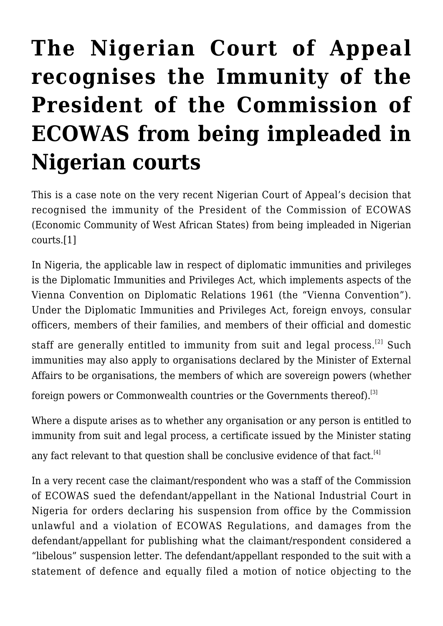## **[The Nigerian Court of Appeal](https://conflictoflaws.net/2021/the-nigerian-court-of-appeal-recognises-the-immunity-of-the-president-of-the-commission-of-ecowas-from-being-impleaded-in-nigerian-courts/) [recognises the Immunity of the](https://conflictoflaws.net/2021/the-nigerian-court-of-appeal-recognises-the-immunity-of-the-president-of-the-commission-of-ecowas-from-being-impleaded-in-nigerian-courts/) [President of the Commission of](https://conflictoflaws.net/2021/the-nigerian-court-of-appeal-recognises-the-immunity-of-the-president-of-the-commission-of-ecowas-from-being-impleaded-in-nigerian-courts/) [ECOWAS from being impleaded in](https://conflictoflaws.net/2021/the-nigerian-court-of-appeal-recognises-the-immunity-of-the-president-of-the-commission-of-ecowas-from-being-impleaded-in-nigerian-courts/) [Nigerian courts](https://conflictoflaws.net/2021/the-nigerian-court-of-appeal-recognises-the-immunity-of-the-president-of-the-commission-of-ecowas-from-being-impleaded-in-nigerian-courts/)**

This is a case note on the very recent Nigerian Court of Appeal's decision that recognised the immunity of the President of the Commission of ECOWAS (Economic Community of West African States) from being impleaded in Nigerian courts[.\[1\]](#page-3-0)

<span id="page-0-0"></span>In Nigeria, the applicable law in respect of diplomatic immunities and privileges is the Diplomatic Immunities and Privileges Act, which implements aspects of the Vienna Convention on Diplomatic Relations 1961 (the "Vienna Convention"). Under the Diplomatic Immunities and Privileges Act, foreign envoys, consular officers, members of their families, and members of their official and domestic

<span id="page-0-1"></span>staff are generally entitled to immunity from suit and legal process.<sup>[\[2\]](#page-3-1)</sup> Such immunities may also apply to organisations declared by the Minister of External Affairs to be organisations, the members of which are sovereign powers (whether

<span id="page-0-2"></span>foreign powers or Commonwealth countries or the Governments thereof).<sup>[\[3\]](#page-3-2)</sup>

<span id="page-0-3"></span>Where a dispute arises as to whether any organisation or any person is entitled to immunity from suit and legal process, a certificate issued by the Minister stating any fact relevant to that question shall be conclusive evidence of that fact.<sup>[\[4\]](#page-4-0)</sup>

In a very recent case the claimant/respondent who was a staff of the Commission of ECOWAS sued the defendant/appellant in the National Industrial Court in Nigeria for orders declaring his suspension from office by the Commission unlawful and a violation of ECOWAS Regulations, and damages from the defendant/appellant for publishing what the claimant/respondent considered a "libelous" suspension letter. The defendant/appellant responded to the suit with a statement of defence and equally filed a motion of notice objecting to the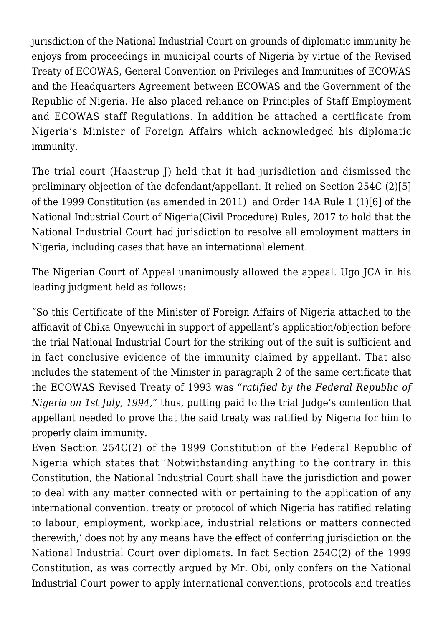jurisdiction of the National Industrial Court on grounds of diplomatic immunity he enjoys from proceedings in municipal courts of Nigeria by virtue of the Revised Treaty of ECOWAS, General Convention on Privileges and Immunities of ECOWAS and the Headquarters Agreement between ECOWAS and the Government of the Republic of Nigeria. He also placed reliance on Principles of Staff Employment and ECOWAS staff Regulations. In addition he attached a certificate from Nigeria's Minister of Foreign Affairs which acknowledged his diplomatic immunity.

<span id="page-1-1"></span><span id="page-1-0"></span>The trial court (Haastrup J) held that it had jurisdiction and dismissed the preliminary objection of the defendant/appellant. It relied on Section 254C (2[\)\[5\]](#page-4-1) of the 1999 Constitution (as amended in 2011) and Order 14A Rule 1 (1)[\[6\]](#page-4-2) of the National Industrial Court of Nigeria(Civil Procedure) Rules, 2017 to hold that the National Industrial Court had jurisdiction to resolve all employment matters in Nigeria, including cases that have an international element.

The Nigerian Court of Appeal unanimously allowed the appeal. Ugo JCA in his leading judgment held as follows:

"So this Certificate of the Minister of Foreign Affairs of Nigeria attached to the affidavit of Chika Onyewuchi in support of appellant's application/objection before the trial National Industrial Court for the striking out of the suit is sufficient and in fact conclusive evidence of the immunity claimed by appellant. That also includes the statement of the Minister in paragraph 2 of the same certificate that the ECOWAS Revised Treaty of 1993 was *"ratified by the Federal Republic of Nigeria on 1st July, 1994,"* thus, putting paid to the trial Judge's contention that appellant needed to prove that the said treaty was ratified by Nigeria for him to properly claim immunity.

Even Section 254C(2) of the 1999 Constitution of the Federal Republic of Nigeria which states that 'Notwithstanding anything to the contrary in this Constitution, the National Industrial Court shall have the jurisdiction and power to deal with any matter connected with or pertaining to the application of any international convention, treaty or protocol of which Nigeria has ratified relating to labour, employment, workplace, industrial relations or matters connected therewith,' does not by any means have the effect of conferring jurisdiction on the National Industrial Court over diplomats. In fact Section 254C(2) of the 1999 Constitution, as was correctly argued by Mr. Obi, only confers on the National Industrial Court power to apply international conventions, protocols and treaties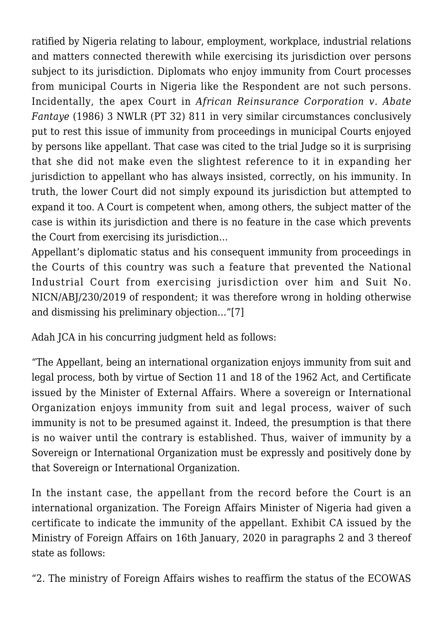ratified by Nigeria relating to labour, employment, workplace, industrial relations and matters connected therewith while exercising its jurisdiction over persons subject to its jurisdiction. Diplomats who enjoy immunity from Court processes from municipal Courts in Nigeria like the Respondent are not such persons. Incidentally, the apex Court in *African Reinsurance Corporation v. Abate Fantaye* (1986) 3 NWLR (PT 32) 811 in very similar circumstances conclusively put to rest this issue of immunity from proceedings in municipal Courts enjoyed by persons like appellant. That case was cited to the trial Judge so it is surprising that she did not make even the slightest reference to it in expanding her jurisdiction to appellant who has always insisted, correctly, on his immunity. In truth, the lower Court did not simply expound its jurisdiction but attempted to expand it too. A Court is competent when, among others, the subject matter of the case is within its jurisdiction and there is no feature in the case which prevents the Court from exercising its jurisdiction…

Appellant's diplomatic status and his consequent immunity from proceedings in the Courts of this country was such a feature that prevented the National Industrial Court from exercising jurisdiction over him and Suit No. NICN/ABJ/230/2019 of respondent; it was therefore wrong in holding otherwise and dismissing his preliminary objection…"[\[7\]](#page-4-3)

<span id="page-2-0"></span>Adah ICA in his concurring judgment held as follows:

"The Appellant, being an international organization enjoys immunity from suit and legal process, both by virtue of Section 11 and 18 of the 1962 Act, and Certificate issued by the Minister of External Affairs. Where a sovereign or International Organization enjoys immunity from suit and legal process, waiver of such immunity is not to be presumed against it. Indeed, the presumption is that there is no waiver until the contrary is established. Thus, waiver of immunity by a Sovereign or International Organization must be expressly and positively done by that Sovereign or International Organization.

In the instant case, the appellant from the record before the Court is an international organization. The Foreign Affairs Minister of Nigeria had given a certificate to indicate the immunity of the appellant. Exhibit CA issued by the Ministry of Foreign Affairs on 16th January, 2020 in paragraphs 2 and 3 thereof state as follows:

"2. The ministry of Foreign Affairs wishes to reaffirm the status of the ECOWAS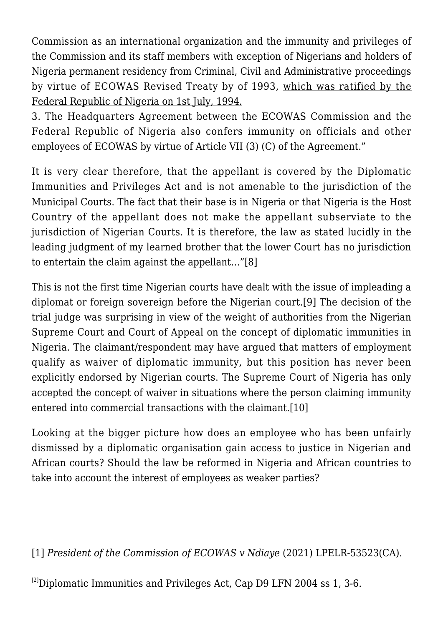Commission as an international organization and the immunity and privileges of the Commission and its staff members with exception of Nigerians and holders of Nigeria permanent residency from Criminal, Civil and Administrative proceedings by virtue of ECOWAS Revised Treaty by of 1993, which was ratified by the Federal Republic of Nigeria on 1st July, 1994.

3. The Headquarters Agreement between the ECOWAS Commission and the Federal Republic of Nigeria also confers immunity on officials and other employees of ECOWAS by virtue of Article VII (3) (C) of the Agreement."

It is very clear therefore, that the appellant is covered by the Diplomatic Immunities and Privileges Act and is not amenable to the jurisdiction of the Municipal Courts. The fact that their base is in Nigeria or that Nigeria is the Host Country of the appellant does not make the appellant subserviate to the jurisdiction of Nigerian Courts. It is therefore, the law as stated lucidly in the leading judgment of my learned brother that the lower Court has no jurisdiction to entertain the claim against the appellant…"[\[8\]](#page-4-4)

<span id="page-3-4"></span><span id="page-3-3"></span>This is not the first time Nigerian courts have dealt with the issue of impleading a diplomat or foreign sovereign before the Nigerian court[.\[9\]](#page-4-5) The decision of the trial judge was surprising in view of the weight of authorities from the Nigerian Supreme Court and Court of Appeal on the concept of diplomatic immunities in Nigeria. The claimant/respondent may have argued that matters of employment qualify as waiver of diplomatic immunity, but this position has never been explicitly endorsed by Nigerian courts. The Supreme Court of Nigeria has only accepted the concept of waiver in situations where the person claiming immunity entered into commercial transactions with the claimant.[\[10\]](#page-4-6)

<span id="page-3-5"></span>Looking at the bigger picture how does an employee who has been unfairly dismissed by a diplomatic organisation gain access to justice in Nigerian and African courts? Should the law be reformed in Nigeria and African countries to take into account the interest of employees as weaker parties?

<span id="page-3-0"></span>[\[1\]](#page-0-0) *President of the Commission of ECOWAS v Ndiaye* (2021) LPELR-53523(CA).

<span id="page-3-2"></span><span id="page-3-1"></span> $^{[2]}$  $^{[2]}$  $^{[2]}$ Diplomatic Immunities and Privileges Act, Cap D9 LFN 2004 ss 1, 3-6.